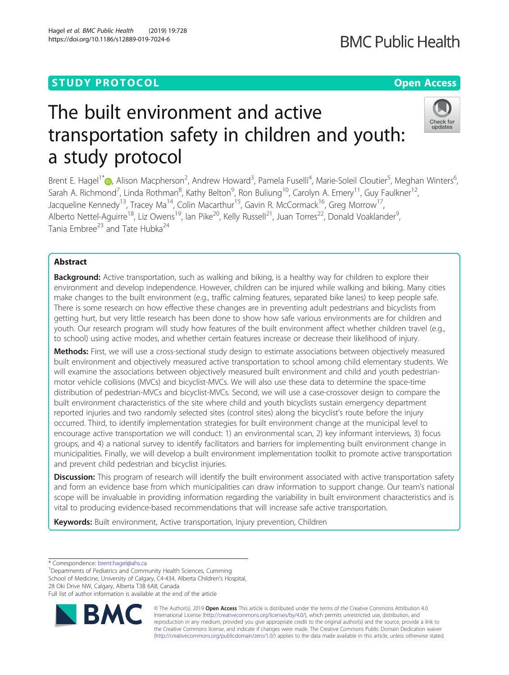# Hagel et al. BMC Public Health (2019) 19:728 https://doi.org/10.1186/s12889-019-7024-6

# The built environment and active transportation safety in children and youth: a study protocol

Brent E. Hagel<sup>1[\\*](http://orcid.org/0000-0002-5530-0639)</sup> D, Alison Macpherson<sup>2</sup>, Andrew Howard<sup>3</sup>, Pamela Fuselli<sup>4</sup>, Marie-Soleil Cloutier<sup>5</sup>, Meghan Winters<sup>6</sup> , Sarah A. Richmond<sup>7</sup>, Linda Rothman $^8$ , Kathy Belton $^9$ , Ron Buliung $^{10}$ , Carolyn A. Emery $^{11}$ , Guy Faulkner $^{12}$ , Jacqueline Kennedy<sup>13</sup>, Tracey Ma<sup>14</sup>, Colin Macarthur<sup>15</sup>, Gavin R. McCormack<sup>16</sup>, Greg Morrow<sup>17</sup>, Alberto Nettel-Aguirre<sup>18</sup>, Liz Owens<sup>19</sup>, Ian Pike<sup>20</sup>, Kelly Russell<sup>21</sup>, Juan Torres<sup>22</sup>, Donald Voaklander<sup>9</sup>, , Tania Embree<sup>23</sup> and Tate Hubka<sup>24</sup>

# Abstract

Background: Active transportation, such as walking and biking, is a healthy way for children to explore their environment and develop independence. However, children can be injured while walking and biking. Many cities make changes to the built environment (e.g., traffic calming features, separated bike lanes) to keep people safe. There is some research on how effective these changes are in preventing adult pedestrians and bicyclists from getting hurt, but very little research has been done to show how safe various environments are for children and youth. Our research program will study how features of the built environment affect whether children travel (e.g., to school) using active modes, and whether certain features increase or decrease their likelihood of injury.

Methods: First, we will use a cross-sectional study design to estimate associations between objectively measured built environment and objectively measured active transportation to school among child elementary students. We will examine the associations between objectively measured built environment and child and youth pedestrianmotor vehicle collisions (MVCs) and bicyclist-MVCs. We will also use these data to determine the space-time distribution of pedestrian-MVCs and bicyclist-MVCs. Second, we will use a case-crossover design to compare the built environment characteristics of the site where child and youth bicyclists sustain emergency department reported injuries and two randomly selected sites (control sites) along the bicyclist's route before the injury occurred. Third, to identify implementation strategies for built environment change at the municipal level to encourage active transportation we will conduct: 1) an environmental scan, 2) key informant interviews, 3) focus groups, and 4) a national survey to identify facilitators and barriers for implementing built environment change in municipalities. Finally, we will develop a built environment implementation toolkit to promote active transportation and prevent child pedestrian and bicyclist injuries.

**Discussion:** This program of research will identify the built environment associated with active transportation safety and form an evidence base from which municipalities can draw information to support change. Our team's national scope will be invaluable in providing information regarding the variability in built environment characteristics and is vital to producing evidence-based recommendations that will increase safe active transportation.

Keywords: Built environment, Active transportation, Injury prevention, Children

\* Correspondence: [brent.hagel@ahs.ca](mailto:brent.hagel@ahs.ca) <sup>1</sup>

<sup>1</sup>Departments of Pediatrics and Community Health Sciences, Cumming School of Medicine, University of Calgary, C4-434, Alberta Children's Hospital, 28 Oki Drive NW, Calgary, Alberta T3B 6A8, Canada Full list of author information is available at the end of the article



© The Author(s). 2019 **Open Access** This article is distributed under the terms of the Creative Commons Attribution 4.0 International License [\(http://creativecommons.org/licenses/by/4.0/](http://creativecommons.org/licenses/by/4.0/)), which permits unrestricted use, distribution, and reproduction in any medium, provided you give appropriate credit to the original author(s) and the source, provide a link to the Creative Commons license, and indicate if changes were made. The Creative Commons Public Domain Dedication waiver [\(http://creativecommons.org/publicdomain/zero/1.0/](http://creativecommons.org/publicdomain/zero/1.0/)) applies to the data made available in this article, unless otherwise stated.



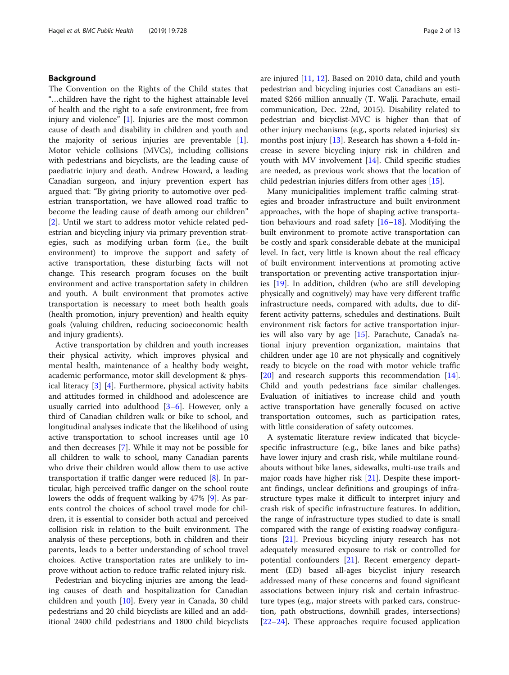# Background

The Convention on the Rights of the Child states that "…children have the right to the highest attainable level of health and the right to a safe environment, free from injury and violence" [[1](#page-11-0)]. Injuries are the most common cause of death and disability in children and youth and the majority of serious injuries are preventable [\[1](#page-11-0)]. Motor vehicle collisions (MVCs), including collisions with pedestrians and bicyclists, are the leading cause of paediatric injury and death. Andrew Howard, a leading Canadian surgeon, and injury prevention expert has argued that: "By giving priority to automotive over pedestrian transportation, we have allowed road traffic to become the leading cause of death among our children" [[2\]](#page-11-0). Until we start to address motor vehicle related pedestrian and bicycling injury via primary prevention strategies, such as modifying urban form (i.e., the built environment) to improve the support and safety of active transportation, these disturbing facts will not change. This research program focuses on the built environment and active transportation safety in children and youth. A built environment that promotes active transportation is necessary to meet both health goals (health promotion, injury prevention) and health equity goals (valuing children, reducing socioeconomic health and injury gradients).

Active transportation by children and youth increases their physical activity, which improves physical and mental health, maintenance of a healthy body weight, academic performance, motor skill development & physical literacy [[3](#page-11-0)] [\[4](#page-11-0)]. Furthermore, physical activity habits and attitudes formed in childhood and adolescence are usually carried into adulthood [\[3](#page-11-0)–[6](#page-11-0)]. However, only a third of Canadian children walk or bike to school, and longitudinal analyses indicate that the likelihood of using active transportation to school increases until age 10 and then decreases [[7\]](#page-11-0). While it may not be possible for all children to walk to school, many Canadian parents who drive their children would allow them to use active transportation if traffic danger were reduced [\[8\]](#page-11-0). In particular, high perceived traffic danger on the school route lowers the odds of frequent walking by 47% [[9\]](#page-11-0). As parents control the choices of school travel mode for children, it is essential to consider both actual and perceived collision risk in relation to the built environment. The analysis of these perceptions, both in children and their parents, leads to a better understanding of school travel choices. Active transportation rates are unlikely to improve without action to reduce traffic related injury risk.

Pedestrian and bicycling injuries are among the leading causes of death and hospitalization for Canadian children and youth [\[10\]](#page-11-0). Every year in Canada, 30 child pedestrians and 20 child bicyclists are killed and an additional 2400 child pedestrians and 1800 child bicyclists are injured [\[11](#page-11-0), [12](#page-11-0)]. Based on 2010 data, child and youth pedestrian and bicycling injuries cost Canadians an estimated \$266 million annually (T. Walji. Parachute, email communication, Dec. 22nd, 2015). Disability related to pedestrian and bicyclist-MVC is higher than that of other injury mechanisms (e.g., sports related injuries) six months post injury [[13\]](#page-11-0). Research has shown a 4-fold increase in severe bicycling injury risk in children and youth with MV involvement [[14\]](#page-11-0). Child specific studies are needed, as previous work shows that the location of child pedestrian injuries differs from other ages [\[15\]](#page-11-0).

Many municipalities implement traffic calming strategies and broader infrastructure and built environment approaches, with the hope of shaping active transportation behaviours and road safety  $[16–18]$  $[16–18]$  $[16–18]$  $[16–18]$  $[16–18]$ . Modifying the built environment to promote active transportation can be costly and spark considerable debate at the municipal level. In fact, very little is known about the real efficacy of built environment interventions at promoting active transportation or preventing active transportation injuries [\[19\]](#page-11-0). In addition, children (who are still developing physically and cognitively) may have very different traffic infrastructure needs, compared with adults, due to different activity patterns, schedules and destinations. Built environment risk factors for active transportation injuries will also vary by age [[15\]](#page-11-0). Parachute, Canada's national injury prevention organization, maintains that children under age 10 are not physically and cognitively ready to bicycle on the road with motor vehicle traffic [[20\]](#page-11-0) and research supports this recommendation [\[14](#page-11-0)]. Child and youth pedestrians face similar challenges. Evaluation of initiatives to increase child and youth active transportation have generally focused on active transportation outcomes, such as participation rates, with little consideration of safety outcomes.

A systematic literature review indicated that bicyclespecific infrastructure (e.g., bike lanes and bike paths) have lower injury and crash risk, while multilane roundabouts without bike lanes, sidewalks, multi-use trails and major roads have higher risk [\[21](#page-11-0)]. Despite these important findings, unclear definitions and groupings of infrastructure types make it difficult to interpret injury and crash risk of specific infrastructure features. In addition, the range of infrastructure types studied to date is small compared with the range of existing roadway configurations [[21](#page-11-0)]. Previous bicycling injury research has not adequately measured exposure to risk or controlled for potential confounders [[21](#page-11-0)]. Recent emergency department (ED) based all-ages bicyclist injury research addressed many of these concerns and found significant associations between injury risk and certain infrastructure types (e.g., major streets with parked cars, construction, path obstructions, downhill grades, intersections) [[22](#page-11-0)–[24](#page-11-0)]. These approaches require focused application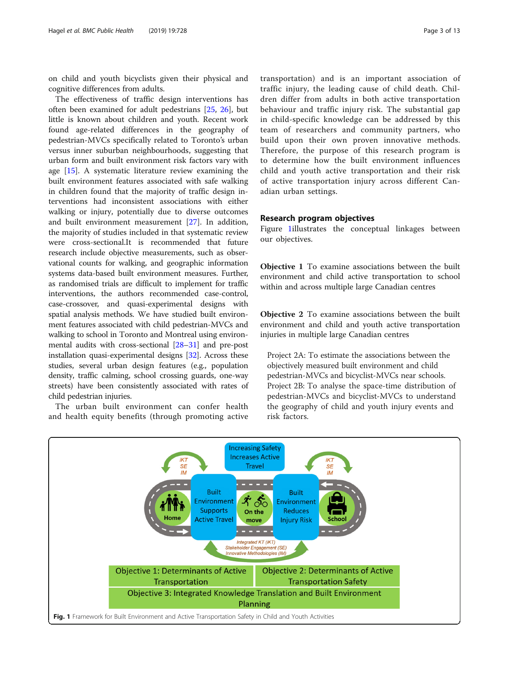on child and youth bicyclists given their physical and cognitive differences from adults.

The effectiveness of traffic design interventions has often been examined for adult pedestrians [[25,](#page-11-0) [26\]](#page-11-0), but little is known about children and youth. Recent work found age-related differences in the geography of pedestrian-MVCs specifically related to Toronto's urban versus inner suburban neighbourhoods, suggesting that urban form and built environment risk factors vary with age [\[15\]](#page-11-0). A systematic literature review examining the built environment features associated with safe walking in children found that the majority of traffic design interventions had inconsistent associations with either walking or injury, potentially due to diverse outcomes and built environment measurement [\[27\]](#page-12-0). In addition, the majority of studies included in that systematic review were cross-sectional.It is recommended that future research include objective measurements, such as observational counts for walking, and geographic information systems data-based built environment measures. Further, as randomised trials are difficult to implement for traffic interventions, the authors recommended case-control, case-crossover, and quasi-experimental designs with spatial analysis methods. We have studied built environment features associated with child pedestrian-MVCs and walking to school in Toronto and Montreal using environmental audits with cross-sectional [\[28](#page-12-0)–[31](#page-12-0)] and pre-post installation quasi-experimental designs [[32](#page-12-0)]. Across these studies, several urban design features (e.g., population density, traffic calming, school crossing guards, one-way streets) have been consistently associated with rates of child pedestrian injuries.

The urban built environment can confer health and health equity benefits (through promoting active

transportation) and is an important association of traffic injury, the leading cause of child death. Children differ from adults in both active transportation behaviour and traffic injury risk. The substantial gap in child-specific knowledge can be addressed by this team of researchers and community partners, who build upon their own proven innovative methods. Therefore, the purpose of this research program is to determine how the built environment influences child and youth active transportation and their risk of active transportation injury across different Canadian urban settings.

#### Research program objectives

Figure 1illustrates the conceptual linkages between our objectives.

Objective 1 To examine associations between the built environment and child active transportation to school within and across multiple large Canadian centres

Objective 2 To examine associations between the built environment and child and youth active transportation injuries in multiple large Canadian centres

Project 2A: To estimate the associations between the objectively measured built environment and child pedestrian-MVCs and bicyclist-MVCs near schools. Project 2B: To analyse the space-time distribution of pedestrian-MVCs and bicyclist-MVCs to understand the geography of child and youth injury events and risk factors.

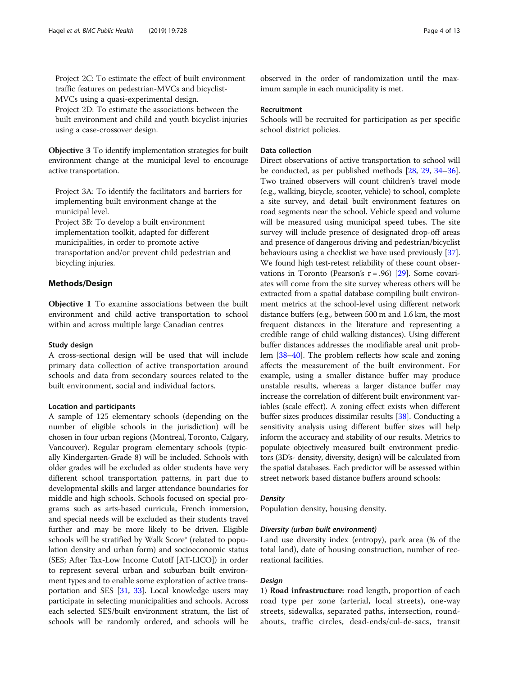Project 2C: To estimate the effect of built environment traffic features on pedestrian-MVCs and bicyclist-

MVCs using a quasi-experimental design.

Project 2D: To estimate the associations between the built environment and child and youth bicyclist-injuries using a case-crossover design.

Objective 3 To identify implementation strategies for built environment change at the municipal level to encourage active transportation.

Project 3A: To identify the facilitators and barriers for implementing built environment change at the municipal level.

Project 3B: To develop a built environment implementation toolkit, adapted for different municipalities, in order to promote active transportation and/or prevent child pedestrian and bicycling injuries.

## Methods/Design

Objective 1 To examine associations between the built environment and child active transportation to school within and across multiple large Canadian centres

#### Study design

A cross-sectional design will be used that will include primary data collection of active transportation around schools and data from secondary sources related to the built environment, social and individual factors.

#### Location and participants

A sample of 125 elementary schools (depending on the number of eligible schools in the jurisdiction) will be chosen in four urban regions (Montreal, Toronto, Calgary, Vancouver). Regular program elementary schools (typically Kindergarten-Grade 8) will be included. Schools with older grades will be excluded as older students have very different school transportation patterns, in part due to developmental skills and larger attendance boundaries for middle and high schools. Schools focused on special programs such as arts-based curricula, French immersion, and special needs will be excluded as their students travel further and may be more likely to be driven. Eligible schools will be stratified by Walk Score® (related to population density and urban form) and socioeconomic status (SES; After Tax-Low Income Cutoff [AT-LICO]) in order to represent several urban and suburban built environment types and to enable some exploration of active transportation and SES [\[31,](#page-12-0) [33](#page-12-0)]. Local knowledge users may participate in selecting municipalities and schools. Across each selected SES/built environment stratum, the list of schools will be randomly ordered, and schools will be

observed in the order of randomization until the maximum sample in each municipality is met.

#### Recruitment

Schools will be recruited for participation as per specific school district policies.

#### Data collection

Direct observations of active transportation to school will be conducted, as per published methods [[28](#page-12-0), [29,](#page-12-0) [34](#page-12-0)–[36](#page-12-0)]. Two trained observers will count children's travel mode (e.g., walking, bicycle, scooter, vehicle) to school, complete a site survey, and detail built environment features on road segments near the school. Vehicle speed and volume will be measured using municipal speed tubes. The site survey will include presence of designated drop-off areas and presence of dangerous driving and pedestrian/bicyclist behaviours using a checklist we have used previously [[37](#page-12-0)]. We found high test-retest reliability of these count observations in Toronto (Pearson's  $r = .96$ ) [[29](#page-12-0)]. Some covariates will come from the site survey whereas others will be extracted from a spatial database compiling built environment metrics at the school-level using different network distance buffers (e.g., between 500 m and 1.6 km, the most frequent distances in the literature and representing a credible range of child walking distances). Using different buffer distances addresses the modifiable areal unit problem [\[38](#page-12-0)–[40](#page-12-0)]. The problem reflects how scale and zoning affects the measurement of the built environment. For example, using a smaller distance buffer may produce unstable results, whereas a larger distance buffer may increase the correlation of different built environment variables (scale effect). A zoning effect exists when different buffer sizes produces dissimilar results [\[38\]](#page-12-0). Conducting a sensitivity analysis using different buffer sizes will help inform the accuracy and stability of our results. Metrics to populate objectively measured built environment predictors (3D's- density, diversity, design) will be calculated from the spatial databases. Each predictor will be assessed within street network based distance buffers around schools:

#### **Density**

Population density, housing density.

#### Diversity (urban built environment)

Land use diversity index (entropy), park area (% of the total land), date of housing construction, number of recreational facilities.

# Design

1) Road infrastructure: road length, proportion of each road type per zone (arterial, local streets), one-way streets, sidewalks, separated paths, intersection, roundabouts, traffic circles, dead-ends/cul-de-sacs, transit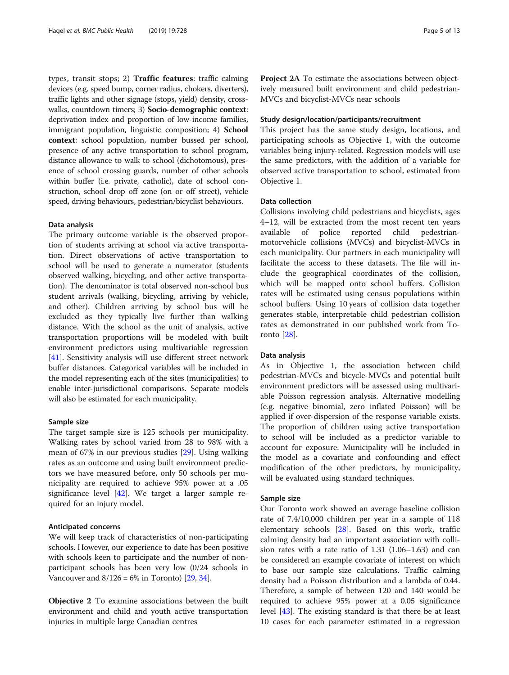types, transit stops; 2) Traffic features: traffic calming devices (e.g. speed bump, corner radius, chokers, diverters), traffic lights and other signage (stops, yield) density, crosswalks, countdown timers; 3) Socio-demographic context: deprivation index and proportion of low-income families, immigrant population, linguistic composition; 4) School context: school population, number bussed per school, presence of any active transportation to school program, distance allowance to walk to school (dichotomous), presence of school crossing guards, number of other schools within buffer (i.e. private, catholic), date of school construction, school drop off zone (on or off street), vehicle speed, driving behaviours, pedestrian/bicyclist behaviours.

#### Data analysis

The primary outcome variable is the observed proportion of students arriving at school via active transportation. Direct observations of active transportation to school will be used to generate a numerator (students observed walking, bicycling, and other active transportation). The denominator is total observed non-school bus student arrivals (walking, bicycling, arriving by vehicle, and other). Children arriving by school bus will be excluded as they typically live further than walking distance. With the school as the unit of analysis, active transportation proportions will be modeled with built environment predictors using multivariable regression [[41\]](#page-12-0). Sensitivity analysis will use different street network buffer distances. Categorical variables will be included in the model representing each of the sites (municipalities) to enable inter-jurisdictional comparisons. Separate models will also be estimated for each municipality.

#### Sample size

The target sample size is 125 schools per municipality. Walking rates by school varied from 28 to 98% with a mean of 67% in our previous studies [\[29\]](#page-12-0). Using walking rates as an outcome and using built environment predictors we have measured before, only 50 schools per municipality are required to achieve 95% power at a .05 significance level [[42\]](#page-12-0). We target a larger sample required for an injury model.

# Anticipated concerns

We will keep track of characteristics of non-participating schools. However, our experience to date has been positive with schools keen to participate and the number of nonparticipant schools has been very low (0/24 schools in Vancouver and  $8/126 = 6\%$  in Toronto) [[29](#page-12-0), [34\]](#page-12-0).

Objective 2 To examine associations between the built environment and child and youth active transportation injuries in multiple large Canadian centres

Project 2A To estimate the associations between objectively measured built environment and child pedestrian-MVCs and bicyclist-MVCs near schools

#### Study design/location/participants/recruitment

This project has the same study design, locations, and participating schools as Objective 1, with the outcome variables being injury-related. Regression models will use the same predictors, with the addition of a variable for observed active transportation to school, estimated from Objective 1.

#### Data collection

Collisions involving child pedestrians and bicyclists, ages 4–12, will be extracted from the most recent ten years available of police reported child pedestrianmotorvehicle collisions (MVCs) and bicyclist-MVCs in each municipality. Our partners in each municipality will facilitate the access to these datasets. The file will include the geographical coordinates of the collision, which will be mapped onto school buffers. Collision rates will be estimated using census populations within school buffers. Using 10 years of collision data together generates stable, interpretable child pedestrian collision rates as demonstrated in our published work from Toronto [\[28](#page-12-0)].

#### Data analysis

As in Objective 1, the association between child pedestrian-MVCs and bicycle-MVCs and potential built environment predictors will be assessed using multivariable Poisson regression analysis. Alternative modelling (e.g. negative binomial, zero inflated Poisson) will be applied if over-dispersion of the response variable exists. The proportion of children using active transportation to school will be included as a predictor variable to account for exposure. Municipality will be included in the model as a covariate and confounding and effect modification of the other predictors, by municipality, will be evaluated using standard techniques.

#### Sample size

Our Toronto work showed an average baseline collision rate of 7.4/10,000 children per year in a sample of 118 elementary schools [[28](#page-12-0)]. Based on this work, traffic calming density had an important association with collision rates with a rate ratio of 1.31 (1.06–1.63) and can be considered an example covariate of interest on which to base our sample size calculations. Traffic calming density had a Poisson distribution and a lambda of 0.44. Therefore, a sample of between 120 and 140 would be required to achieve 95% power at a 0.05 significance level [[43\]](#page-12-0). The existing standard is that there be at least 10 cases for each parameter estimated in a regression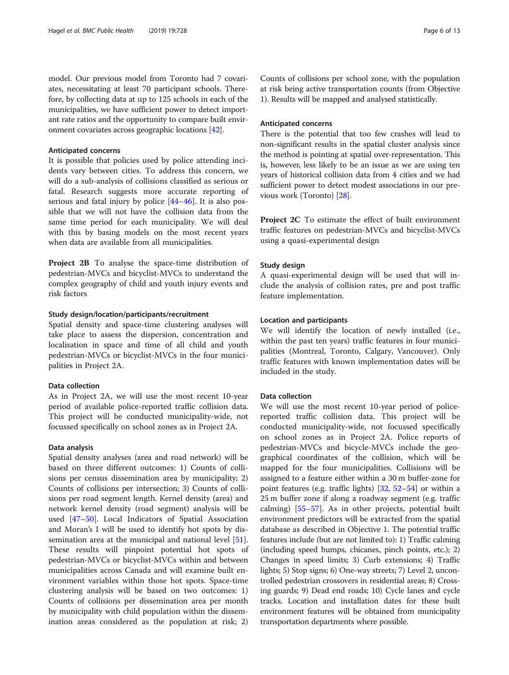model. Our previous model from Toronto had 7 covariates, necessitating at least 70 participant schools. Therefore, by collecting data at up to 125 schools in each of the municipalities, we have sufficient power to detect important rate ratios and the opportunity to compare built environment covariates across geographic locations [[42](#page-12-0)].

#### Anticipated concerns

It is possible that policies used by police attending incidents vary between cities. To address this concern, we will do a sub-analysis of collisions classified as serious or fatal. Research suggests more accurate reporting of serious and fatal injury by police [\[44](#page-12-0)–[46\]](#page-12-0). It is also possible that we will not have the collision data from the same time period for each municipality. We will deal with this by basing models on the most recent years when data are available from all municipalities.

Project 2B To analyse the space-time distribution of pedestrian-MVCs and bicyclist-MVCs to understand the complex geography of child and youth injury events and risk factors

#### Study design/location/participants/recruitment

Spatial density and space-time clustering analyses will take place to assess the dispersion, concentration and localisation in space and time of all child and youth pedestrian-MVCs or bicyclist-MVCs in the four municipalities in Project 2A.

# Data collection

As in Project 2A, we will use the most recent 10-year period of available police-reported traffic collision data. This project will be conducted municipality-wide, not focussed specifically on school zones as in Project 2A.

#### Data analysis

Spatial density analyses (area and road network) will be based on three different outcomes: 1) Counts of collisions per census dissemination area by municipality; 2) Counts of collisions per intersection; 3) Counts of collisions per road segment length. Kernel density (area) and network kernel density (road segment) analysis will be used [\[47](#page-12-0)–[50](#page-12-0)]. Local Indicators of Spatial Association and Moran's I will be used to identify hot spots by dissemination area at the municipal and national level [\[51](#page-12-0)]. These results will pinpoint potential hot spots of pedestrian-MVCs or bicyclist-MVCs within and between municipalities across Canada and will examine built environment variables within those hot spots. Space-time clustering analysis will be based on two outcomes: 1) Counts of collisions per dissemination area per month by municipality with child population within the dissemination areas considered as the population at risk; 2)

Counts of collisions per school zone, with the population at risk being active transportation counts (from Objective 1). Results will be mapped and analysed statistically.

#### Anticipated concerns

There is the potential that too few crashes will lead to non-significant results in the spatial cluster analysis since the method is pointing at spatial over-representation. This is, however, less likely to be an issue as we are using ten years of historical collision data from 4 cities and we had sufficient power to detect modest associations in our previous work (Toronto) [[28](#page-12-0)].

Project 2C To estimate the effect of built environment traffic features on pedestrian-MVCs and bicyclist-MVCs using a quasi-experimental design

#### Study design

A quasi-experimental design will be used that will include the analysis of collision rates, pre and post traffic feature implementation.

#### Location and participants

We will identify the location of newly installed (i.e., within the past ten years) traffic features in four municipalities (Montreal, Toronto, Calgary, Vancouver). Only traffic features with known implementation dates will be included in the study.

#### Data collection

We will use the most recent 10-year period of policereported traffic collision data. This project will be conducted municipality-wide, not focussed specifically on school zones as in Project 2A. Police reports of pedestrian-MVCs and bicycle-MVCs include the geographical coordinates of the collision, which will be mapped for the four municipalities. Collisions will be assigned to a feature either within a 30 m buffer-zone for point features (e.g. traffic lights) [[32,](#page-12-0) [52](#page-12-0)–[54\]](#page-12-0) or within a 25 m buffer zone if along a roadway segment (e.g. traffic calming) [\[55](#page-12-0)–[57\]](#page-12-0). As in other projects, potential built environment predictors will be extracted from the spatial database as described in Objective 1. The potential traffic features include (but are not limited to): 1) Traffic calming (including speed humps, chicanes, pinch points, etc.); 2) Changes in speed limits; 3) Curb extensions; 4) Traffic lights; 5) Stop signs; 6) One-way streets; 7) Level 2, uncontrolled pedestrian crossovers in residential areas; 8) Crossing guards; 9) Dead end roads; 10) Cycle lanes and cycle tracks. Location and installation dates for these built environment features will be obtained from municipality transportation departments where possible.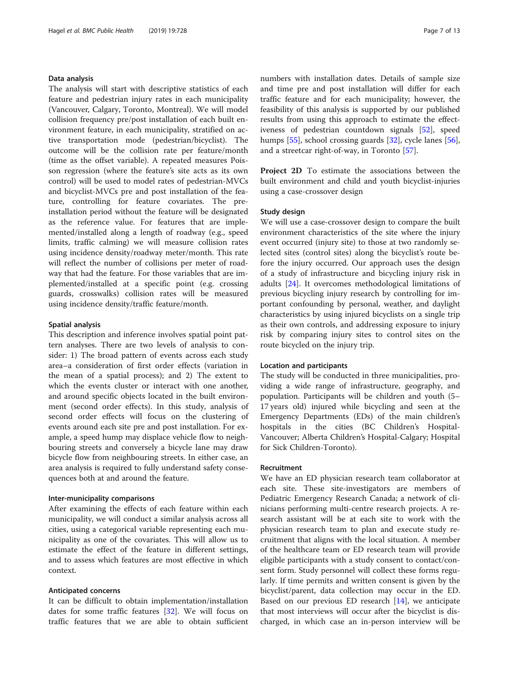#### Data analysis

The analysis will start with descriptive statistics of each feature and pedestrian injury rates in each municipality (Vancouver, Calgary, Toronto, Montreal). We will model collision frequency pre/post installation of each built environment feature, in each municipality, stratified on active transportation mode (pedestrian/bicyclist). The outcome will be the collision rate per feature/month (time as the offset variable). A repeated measures Poisson regression (where the feature's site acts as its own control) will be used to model rates of pedestrian-MVCs and bicyclist-MVCs pre and post installation of the feature, controlling for feature covariates. The preinstallation period without the feature will be designated as the reference value. For features that are implemented/installed along a length of roadway (e.g., speed limits, traffic calming) we will measure collision rates using incidence density/roadway meter/month. This rate will reflect the number of collisions per meter of roadway that had the feature. For those variables that are implemented/installed at a specific point (e.g. crossing guards, crosswalks) collision rates will be measured using incidence density/traffic feature/month.

#### Spatial analysis

This description and inference involves spatial point pattern analyses. There are two levels of analysis to consider: 1) The broad pattern of events across each study area–a consideration of first order effects (variation in the mean of a spatial process); and 2) The extent to which the events cluster or interact with one another, and around specific objects located in the built environment (second order effects). In this study, analysis of second order effects will focus on the clustering of events around each site pre and post installation. For example, a speed hump may displace vehicle flow to neighbouring streets and conversely a bicycle lane may draw bicycle flow from neighbouring streets. In either case, an area analysis is required to fully understand safety consequences both at and around the feature.

#### Inter-municipality comparisons

After examining the effects of each feature within each municipality, we will conduct a similar analysis across all cities, using a categorical variable representing each municipality as one of the covariates. This will allow us to estimate the effect of the feature in different settings, and to assess which features are most effective in which context.

#### Anticipated concerns

It can be difficult to obtain implementation/installation dates for some traffic features  $[32]$  $[32]$ . We will focus on traffic features that we are able to obtain sufficient numbers with installation dates. Details of sample size and time pre and post installation will differ for each traffic feature and for each municipality; however, the feasibility of this analysis is supported by our published results from using this approach to estimate the effectiveness of pedestrian countdown signals [[52\]](#page-12-0), speed humps [[55](#page-12-0)], school crossing guards [[32](#page-12-0)], cycle lanes [\[56](#page-12-0)], and a streetcar right-of-way, in Toronto [\[57](#page-12-0)].

Project 2D To estimate the associations between the built environment and child and youth bicyclist-injuries using a case-crossover design

#### Study design

We will use a case-crossover design to compare the built environment characteristics of the site where the injury event occurred (injury site) to those at two randomly selected sites (control sites) along the bicyclist's route before the injury occurred. Our approach uses the design of a study of infrastructure and bicycling injury risk in adults [[24\]](#page-11-0). It overcomes methodological limitations of previous bicycling injury research by controlling for important confounding by personal, weather, and daylight characteristics by using injured bicyclists on a single trip as their own controls, and addressing exposure to injury risk by comparing injury sites to control sites on the route bicycled on the injury trip.

#### Location and participants

The study will be conducted in three municipalities, providing a wide range of infrastructure, geography, and population. Participants will be children and youth (5– 17 years old) injured while bicycling and seen at the Emergency Departments (EDs) of the main children's hospitals in the cities (BC Children's Hospital-Vancouver; Alberta Children's Hospital-Calgary; Hospital for Sick Children-Toronto).

#### Recruitment

We have an ED physician research team collaborator at each site. These site-investigators are members of Pediatric Emergency Research Canada; a network of clinicians performing multi-centre research projects. A research assistant will be at each site to work with the physician research team to plan and execute study recruitment that aligns with the local situation. A member of the healthcare team or ED research team will provide eligible participants with a study consent to contact/consent form. Study personnel will collect these forms regularly. If time permits and written consent is given by the bicyclist/parent, data collection may occur in the ED. Based on our previous ED research [[14\]](#page-11-0), we anticipate that most interviews will occur after the bicyclist is discharged, in which case an in-person interview will be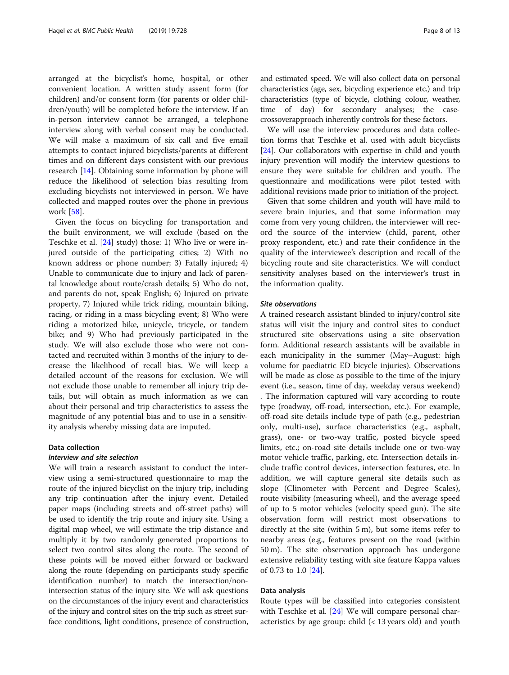arranged at the bicyclist's home, hospital, or other convenient location. A written study assent form (for children) and/or consent form (for parents or older children/youth) will be completed before the interview. If an in-person interview cannot be arranged, a telephone interview along with verbal consent may be conducted. We will make a maximum of six call and five email attempts to contact injured bicyclists/parents at different times and on different days consistent with our previous research [[14\]](#page-11-0). Obtaining some information by phone will reduce the likelihood of selection bias resulting from excluding bicyclists not interviewed in person. We have collected and mapped routes over the phone in previous work [\[58](#page-12-0)].

Given the focus on bicycling for transportation and the built environment, we will exclude (based on the Teschke et al. [\[24\]](#page-11-0) study) those: 1) Who live or were injured outside of the participating cities; 2) With no known address or phone number; 3) Fatally injured; 4) Unable to communicate due to injury and lack of parental knowledge about route/crash details; 5) Who do not, and parents do not, speak English; 6) Injured on private property, 7) Injured while trick riding, mountain biking, racing, or riding in a mass bicycling event; 8) Who were riding a motorized bike, unicycle, tricycle, or tandem bike; and 9) Who had previously participated in the study. We will also exclude those who were not contacted and recruited within 3 months of the injury to decrease the likelihood of recall bias. We will keep a detailed account of the reasons for exclusion. We will not exclude those unable to remember all injury trip details, but will obtain as much information as we can about their personal and trip characteristics to assess the magnitude of any potential bias and to use in a sensitivity analysis whereby missing data are imputed.

#### Data collection

# Interview and site selection

We will train a research assistant to conduct the interview using a semi-structured questionnaire to map the route of the injured bicyclist on the injury trip, including any trip continuation after the injury event. Detailed paper maps (including streets and off-street paths) will be used to identify the trip route and injury site. Using a digital map wheel, we will estimate the trip distance and multiply it by two randomly generated proportions to select two control sites along the route. The second of these points will be moved either forward or backward along the route (depending on participants study specific identification number) to match the intersection/nonintersection status of the injury site. We will ask questions on the circumstances of the injury event and characteristics of the injury and control sites on the trip such as street surface conditions, light conditions, presence of construction, and estimated speed. We will also collect data on personal characteristics (age, sex, bicycling experience etc.) and trip characteristics (type of bicycle, clothing colour, weather, time of day) for secondary analyses; the casecrossoverapproach inherently controls for these factors.

We will use the interview procedures and data collection forms that Teschke et al. used with adult bicyclists [[24](#page-11-0)]. Our collaborators with expertise in child and youth injury prevention will modify the interview questions to ensure they were suitable for children and youth. The questionnaire and modifications were pilot tested with additional revisions made prior to initiation of the project.

Given that some children and youth will have mild to severe brain injuries, and that some information may come from very young children, the interviewer will record the source of the interview (child, parent, other proxy respondent, etc.) and rate their confidence in the quality of the interviewee's description and recall of the bicycling route and site characteristics. We will conduct sensitivity analyses based on the interviewer's trust in the information quality.

#### Site observations

A trained research assistant blinded to injury/control site status will visit the injury and control sites to conduct structured site observations using a site observation form. Additional research assistants will be available in each municipality in the summer (May–August: high volume for paediatric ED bicycle injuries). Observations will be made as close as possible to the time of the injury event (i.e., season, time of day, weekday versus weekend) . The information captured will vary according to route type (roadway, off-road, intersection, etc.). For example, off-road site details include type of path (e.g., pedestrian only, multi-use), surface characteristics (e.g., asphalt, grass), one- or two-way traffic, posted bicycle speed limits, etc.; on-road site details include one or two-way motor vehicle traffic, parking, etc. Intersection details include traffic control devices, intersection features, etc. In addition, we will capture general site details such as slope (Clinometer with Percent and Degree Scales), route visibility (measuring wheel), and the average speed of up to 5 motor vehicles (velocity speed gun). The site observation form will restrict most observations to directly at the site (within 5 m), but some items refer to nearby areas (e.g., features present on the road (within 50 m). The site observation approach has undergone extensive reliability testing with site feature Kappa values of 0.73 to 1.0 [[24\]](#page-11-0).

# Data analysis

Route types will be classified into categories consistent with Teschke et al. [[24\]](#page-11-0) We will compare personal characteristics by age group: child (< 13 years old) and youth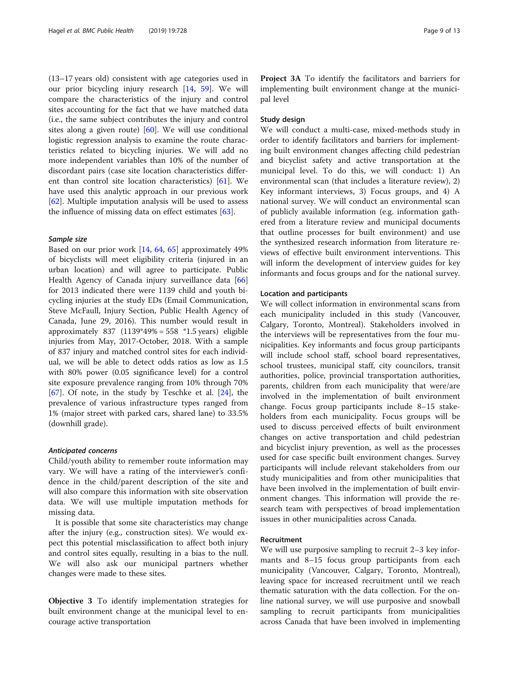(13–17 years old) consistent with age categories used in our prior bicycling injury research [\[14,](#page-11-0) [59\]](#page-12-0). We will compare the characteristics of the injury and control sites accounting for the fact that we have matched data (i.e., the same subject contributes the injury and control sites along a given route)  $[60]$  $[60]$ . We will use conditional logistic regression analysis to examine the route characteristics related to bicycling injuries. We will add no more independent variables than 10% of the number of discordant pairs (case site location characteristics different than control site location characteristics) [\[61](#page-12-0)]. We have used this analytic approach in our previous work [[62\]](#page-12-0). Multiple imputation analysis will be used to assess the influence of missing data on effect estimates [\[63](#page-12-0)].

#### Sample size

Based on our prior work [[14](#page-11-0), [64,](#page-12-0) [65](#page-12-0)] approximately 49% of bicyclists will meet eligibility criteria (injured in an urban location) and will agree to participate. Public Health Agency of Canada injury surveillance data [[66](#page-12-0)] for 2013 indicated there were 1139 child and youth bicycling injuries at the study EDs (Email Communication, Steve McFaull, Injury Section, Public Health Agency of Canada, June 29, 2016). This number would result in approximately 837  $(1139*49% = 558 * 1.5 \text{ years})$  eligible injuries from May, 2017-October, 2018. With a sample of 837 injury and matched control sites for each individual, we will be able to detect odds ratios as low as 1.5 with 80% power (0.05 significance level) for a control site exposure prevalence ranging from 10% through 70% [[67\]](#page-12-0). Of note, in the study by Teschke et al.  $[24]$  $[24]$ , the prevalence of various infrastructure types ranged from 1% (major street with parked cars, shared lane) to 33.5% (downhill grade).

#### Anticipated concerns

Child/youth ability to remember route information may vary. We will have a rating of the interviewer's confidence in the child/parent description of the site and will also compare this information with site observation data. We will use multiple imputation methods for missing data.

It is possible that some site characteristics may change after the injury (e.g., construction sites). We would expect this potential misclassification to affect both injury and control sites equally, resulting in a bias to the null. We will also ask our municipal partners whether changes were made to these sites.

Objective 3 To identify implementation strategies for built environment change at the municipal level to encourage active transportation

Project 3A To identify the facilitators and barriers for implementing built environment change at the municipal level

# Study design

We will conduct a multi-case, mixed-methods study in order to identify facilitators and barriers for implementing built environment changes affecting child pedestrian and bicyclist safety and active transportation at the municipal level. To do this, we will conduct: 1) An environmental scan (that includes a literature review), 2) Key informant interviews, 3) Focus groups, and 4) A national survey. We will conduct an environmental scan of publicly available information (e.g. information gathered from a literature review and municipal documents that outline processes for built environment) and use the synthesized research information from literature reviews of effective built environment interventions. This will inform the development of interview guides for key informants and focus groups and for the national survey.

#### Location and participants

We will collect information in environmental scans from each municipality included in this study (Vancouver, Calgary, Toronto, Montreal). Stakeholders involved in the interviews will be representatives from the four municipalities. Key informants and focus group participants will include school staff, school board representatives, school trustees, municipal staff, city councilors, transit authorities, police, provincial transportation authorities, parents, children from each municipality that were/are involved in the implementation of built environment change. Focus group participants include 8–15 stakeholders from each municipality. Focus groups will be used to discuss perceived effects of built environment changes on active transportation and child pedestrian and bicyclist injury prevention, as well as the processes used for case specific built environment changes. Survey participants will include relevant stakeholders from our study municipalities and from other municipalities that have been involved in the implementation of built environment changes. This information will provide the research team with perspectives of broad implementation issues in other municipalities across Canada.

# Recruitment

We will use purposive sampling to recruit 2–3 key informants and 8–15 focus group participants from each municipality (Vancouver, Calgary, Toronto, Montreal), leaving space for increased recruitment until we reach thematic saturation with the data collection. For the online national survey, we will use purposive and snowball sampling to recruit participants from municipalities across Canada that have been involved in implementing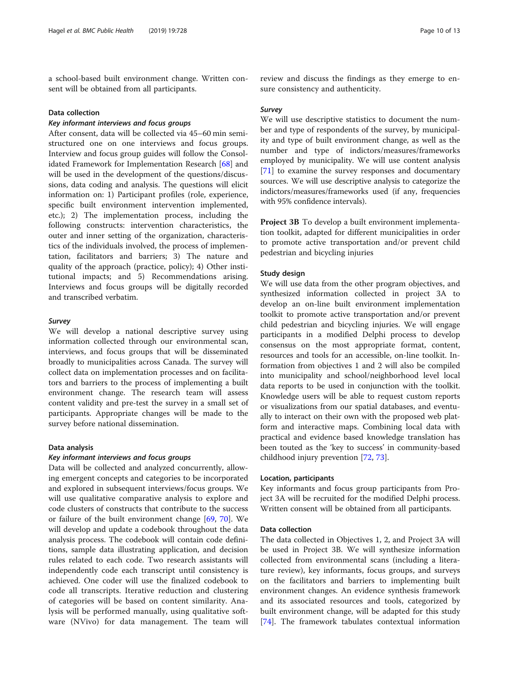a school-based built environment change. Written consent will be obtained from all participants.

# Data collection

#### Key informant interviews and focus groups

After consent, data will be collected via 45–60 min semistructured one on one interviews and focus groups. Interview and focus group guides will follow the Consolidated Framework for Implementation Research [[68](#page-12-0)] and will be used in the development of the questions/discussions, data coding and analysis. The questions will elicit information on: 1) Participant profiles (role, experience, specific built environment intervention implemented, etc.); 2) The implementation process, including the following constructs: intervention characteristics, the outer and inner setting of the organization, characteristics of the individuals involved, the process of implementation, facilitators and barriers; 3) The nature and quality of the approach (practice, policy); 4) Other institutional impacts; and 5) Recommendations arising. Interviews and focus groups will be digitally recorded and transcribed verbatim.

#### Survey

We will develop a national descriptive survey using information collected through our environmental scan, interviews, and focus groups that will be disseminated broadly to municipalities across Canada. The survey will collect data on implementation processes and on facilitators and barriers to the process of implementing a built environment change. The research team will assess content validity and pre-test the survey in a small set of participants. Appropriate changes will be made to the survey before national dissemination.

#### Data analysis

#### Key informant interviews and focus groups

Data will be collected and analyzed concurrently, allowing emergent concepts and categories to be incorporated and explored in subsequent interviews/focus groups. We will use qualitative comparative analysis to explore and code clusters of constructs that contribute to the success or failure of the built environment change [[69](#page-12-0), [70](#page-12-0)]. We will develop and update a codebook throughout the data analysis process. The codebook will contain code definitions, sample data illustrating application, and decision rules related to each code. Two research assistants will independently code each transcript until consistency is achieved. One coder will use the finalized codebook to code all transcripts. Iterative reduction and clustering of categories will be based on content similarity. Analysis will be performed manually, using qualitative software (NVivo) for data management. The team will

review and discuss the findings as they emerge to ensure consistency and authenticity.

#### Survey

We will use descriptive statistics to document the number and type of respondents of the survey, by municipality and type of built environment change, as well as the number and type of indictors/measures/frameworks employed by municipality. We will use content analysis [[71\]](#page-12-0) to examine the survey responses and documentary sources. We will use descriptive analysis to categorize the indictors/measures/frameworks used (if any, frequencies with 95% confidence intervals).

Project 3B To develop a built environment implementation toolkit, adapted for different municipalities in order to promote active transportation and/or prevent child pedestrian and bicycling injuries

#### Study design

We will use data from the other program objectives, and synthesized information collected in project 3A to develop an on-line built environment implementation toolkit to promote active transportation and/or prevent child pedestrian and bicycling injuries. We will engage participants in a modified Delphi process to develop consensus on the most appropriate format, content, resources and tools for an accessible, on-line toolkit. Information from objectives 1 and 2 will also be compiled into municipality and school/neighborhood level local data reports to be used in conjunction with the toolkit. Knowledge users will be able to request custom reports or visualizations from our spatial databases, and eventually to interact on their own with the proposed web platform and interactive maps. Combining local data with practical and evidence based knowledge translation has been touted as the 'key to success' in community-based childhood injury prevention [\[72](#page-12-0), [73](#page-12-0)].

#### Location, participants

Key informants and focus group participants from Project 3A will be recruited for the modified Delphi process. Written consent will be obtained from all participants.

### Data collection

The data collected in Objectives 1, 2, and Project 3A will be used in Project 3B. We will synthesize information collected from environmental scans (including a literature review), key informants, focus groups, and surveys on the facilitators and barriers to implementing built environment changes. An evidence synthesis framework and its associated resources and tools, categorized by built environment change, will be adapted for this study [[74\]](#page-12-0). The framework tabulates contextual information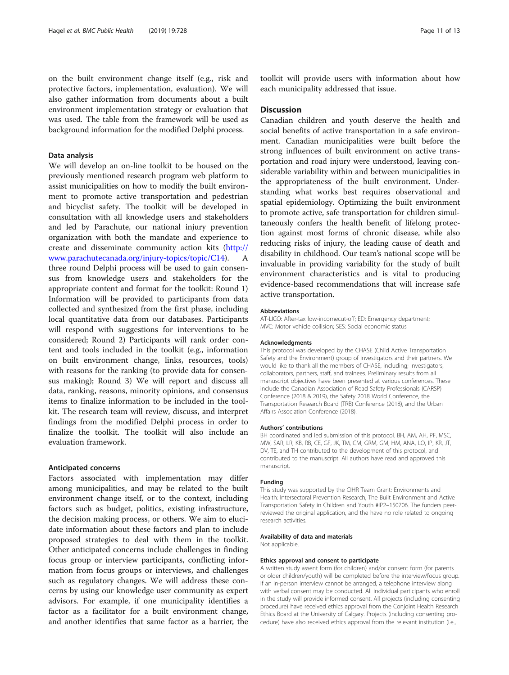on the built environment change itself (e.g., risk and protective factors, implementation, evaluation). We will also gather information from documents about a built environment implementation strategy or evaluation that was used. The table from the framework will be used as

background information for the modified Delphi process.

#### Data analysis

We will develop an on-line toolkit to be housed on the previously mentioned research program web platform to assist municipalities on how to modify the built environment to promote active transportation and pedestrian and bicyclist safety. The toolkit will be developed in consultation with all knowledge users and stakeholders and led by Parachute, our national injury prevention organization with both the mandate and experience to create and disseminate community action kits [\(http://](http://www.parachutecanada.org/injury-topics/topic/C14) [www.parachutecanada.org/injury-topics/topic/C14\)](http://www.parachutecanada.org/injury-topics/topic/C14). A three round Delphi process will be used to gain consensus from knowledge users and stakeholders for the appropriate content and format for the toolkit: Round 1) Information will be provided to participants from data collected and synthesized from the first phase, including local quantitative data from our databases. Participants will respond with suggestions for interventions to be considered; Round 2) Participants will rank order content and tools included in the toolkit (e.g., information on built environment change, links, resources, tools) with reasons for the ranking (to provide data for consensus making); Round 3) We will report and discuss all data, ranking, reasons, minority opinions, and consensus items to finalize information to be included in the toolkit. The research team will review, discuss, and interpret findings from the modified Delphi process in order to finalize the toolkit. The toolkit will also include an evaluation framework.

#### Anticipated concerns

Factors associated with implementation may differ among municipalities, and may be related to the built environment change itself, or to the context, including factors such as budget, politics, existing infrastructure, the decision making process, or others. We aim to elucidate information about these factors and plan to include proposed strategies to deal with them in the toolkit. Other anticipated concerns include challenges in finding focus group or interview participants, conflicting information from focus groups or interviews, and challenges such as regulatory changes. We will address these concerns by using our knowledge user community as expert advisors. For example, if one municipality identifies a factor as a facilitator for a built environment change, and another identifies that same factor as a barrier, the toolkit will provide users with information about how each municipality addressed that issue.

#### **Discussion**

Canadian children and youth deserve the health and social benefits of active transportation in a safe environment. Canadian municipalities were built before the strong influences of built environment on active transportation and road injury were understood, leaving considerable variability within and between municipalities in the appropriateness of the built environment. Understanding what works best requires observational and spatial epidemiology. Optimizing the built environment to promote active, safe transportation for children simultaneously confers the health benefit of lifelong protection against most forms of chronic disease, while also reducing risks of injury, the leading cause of death and disability in childhood. Our team's national scope will be invaluable in providing variability for the study of built environment characteristics and is vital to producing evidence-based recommendations that will increase safe active transportation.

#### Abbreviations

AT-LICO: After-tax low-incomecut-off; ED: Emergency department; MVC: Motor vehicle collision; SES: Social economic status

#### Acknowledgments

This protocol was developed by the CHASE (Child Active Transportation Safety and the Environment) group of investigators and their partners. We would like to thank all the members of CHASE, including; investigators, collaborators, partners, staff, and trainees. Preliminary results from all manuscript objectives have been presented at various conferences. These include the Canadian Association of Road Safety Professionals (CARSP) Conference (2018 & 2019), the Safety 2018 World Conference, the Transportation Research Board (TRB) Conference (2018), and the Urban Affairs Association Conference (2018).

#### Authors' contributions

BH coordinated and led submission of this protocol. BH, AM, AH, PF, MSC, MW, SAR, LR, KB, RB, CE, GF, JK, TM, CM, GRM, GM, HM, ANA, LO, IP, KR, JT, DV, TE, and TH contributed to the development of this protocol, and contributed to the manuscript. All authors have read and approved this manuscript.

#### Funding

This study was supported by the CIHR Team Grant: Environments and Health: Intersectoral Prevention Research, The Built Environment and Active Transportation Safety in Children and Youth #IP2–150706. The funders peerreviewed the original application, and the have no role related to ongoing research activities.

#### Availability of data and materials

Not applicable.

#### Ethics approval and consent to participate

A written study assent form (for children) and/or consent form (for parents or older children/youth) will be completed before the interview/focus group. If an in-person interview cannot be arranged, a telephone interview along with verbal consent may be conducted. All individual participants who enroll in the study will provide informed consent. All projects (including consenting procedure) have received ethics approval from the Conjoint Health Research Ethics Board at the University of Calgary. Projects (including consenting procedure) have also received ethics approval from the relevant institution (i.e.,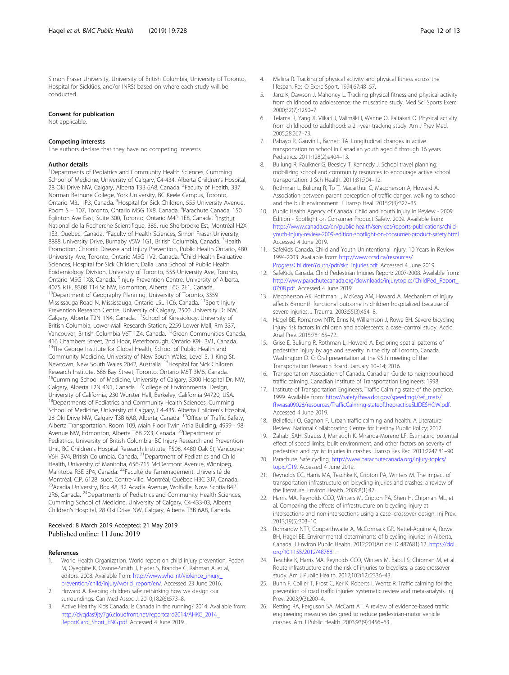<span id="page-11-0"></span>Simon Fraser University, University of British Columbia, University of Toronto, Hospital for SickKids, and/or INRS) based on where each study will be conducted.

#### Consent for publication

Not applicable.

#### Competing interests

The authors declare that they have no competing interests.

#### Author details

<sup>1</sup>Departments of Pediatrics and Community Health Sciences, Cumming School of Medicine, University of Calgary, C4-434, Alberta Children's Hospital, 28 Oki Drive NW, Calgary, Alberta T3B 6A8, Canada. <sup>2</sup> Faculty of Health, 337 Norman Bethune College, York University, BC Keele Campus, Toronto, Ontario M3J 1P3, Canada. <sup>3</sup>Hospital for Sick Children, 555 University Avenue, Room S - 107, Toronto, Ontario M5G 1X8, Canada. <sup>4</sup>Parachute Canada, 150 Eglinton Ave East, Suite 300, Toronto, Ontario M4P 1E8, Canada. <sup>5</sup>Institut National de la Recherche Scientifique, 385, rue Sherbrooke Est, Montréal H2X 1E3, Québec, Canada. <sup>6</sup>Faculty of Health Sciences, Simon Fraser University, 8888 University Drive, Burnaby V5W 1G1, British Columbia, Canada. <sup>7</sup>Health Promotion, Chronic Disease and Injury Prevention, Public Health Ontario, 480 University Ave, Toronto, Ontario M5G 1V2, Canada. <sup>8</sup>Child Health Evaluative Sciences, Hospital for Sick Children; Dalla Lana School of Public Health, Epidemiology Division, University of Toronto, 555 University Ave, Toronto, Ontario M5G 1X8, Canada. <sup>9</sup>Injury Prevention Centre, University of Alberta, 4075 RTF, 8308 114 St NW, Edmonton, Alberta T6G 2E1, Canada. <sup>10</sup>Department of Geography Planning, University of Toronto, 3359 Mississauga Road N, Mississauga, Ontario L5L 1C6, Canada. <sup>11</sup>Sport Injury Prevention Research Centre, University of Calgary, 2500 University Dr NW, Calgary, Alberta T2N 1N4, Canada. 12School of Kinesiology, University of British Columbia, Lower Mall Research Station, 2259 Lower Mall, Rm 337, Vancouver, British Columbia V6T 1Z4, Canada. 13Green Communities Canada, 416 Chambers Street, 2nd Floor, Peterborough, Ontario K9H 3V1, Canada. <sup>14</sup>The George Institute for Global Health; School of Public Health and Community Medicine, University of New South Wales, Level 5, 1 King St, Newtown, New South Wales 2042, Australia. <sup>15</sup>Hospital for Sick Children Research Institute, 686 Bay Street, Toronto, Ontario M5T 3M6, Canada. <sup>16</sup>Cumming School of Medicine, University of Calgary, 3300 Hospital Dr. NW, Calgary, Alberta T2N 4N1, Canada. 17College of Environmental Design, University of California, 230 Wurster Hall, Berkeley, California 94720, USA. <sup>18</sup>Departments of Pediatrics and Community Health Sciences, Cumming School of Medicine, University of Calgary, C4-435, Alberta Children's Hospital, 28 Oki Drive NW, Calgary T3B 6A8, Alberta, Canada. <sup>19</sup>Office of Traffic Safety, Alberta Transportation, Room 109, Main Floor Twin Atria Building, 4999 - 98 Avenue NW, Edmonton, Alberta T6B 2X3, Canada. <sup>20</sup>Department of Pediatrics, University of British Columbia; BC Injury Research and Prevention Unit, BC Children's Hospital Research Institute, F508, 4480 Oak St, Vancouver V6H 3V4, British Columbia, Canada. <sup>21</sup>Department of Pediatrics and Child Health, University of Manitoba, 656-715 McDermont Avenue, Winnipeg, Manitoba R3E 3P4, Canada. 22Faculté de l'aménagement, Université de Montréal, C.P. 6128, succ. Centre-ville, Montréal, Québec H3C 3J7, Canada. <sup>23</sup> Acadia University, Box 48, 32 Acadia Avenue, Wolfville, Nova Scotia B4P 2R6, Canada. <sup>24</sup>Departments of Pediatrics and Community Health Sciences, Cumming School of Medicine, University of Calgary, C4-433-03, Alberta Children's Hospital, 28 Oki Drive NW, Calgary, Alberta T3B 6A8, Canada.

#### Received: 8 March 2019 Accepted: 21 May 2019 Published online: 11 June 2019

#### References

- 1. World Health Organization. World report on child injury prevention. Peden M, Oyegbite K, Ozanne-Smith J, Hyder S, Branche C, Rahman A, et al, editors. 2008. Available from: [http://www.who.int/violence\\_injury\\_](http://www.who.int/violence_injury_prevention/child/injury/world_report/en/) [prevention/child/injury/world\\_report/en/.](http://www.who.int/violence_injury_prevention/child/injury/world_report/en/) Accessed 23 June 2016.
- 2. Howard A. Keeping children safe: rethinking how we design our surroundings. Can Med Assoc J. 2010;182(6):573–8.
- Active Healthy Kids Canada. Is Canada in the running? 2014. Available from: [http://dvqdas9jty7g6.cloudfront.net/reportcard2014/AHKC\\_2014\\_](http://dvqdas9jty7g6.cloudfront.net/reportcard2014/AHKC_2014_ReportCard_Short_ENG.pdf) [ReportCard\\_Short\\_ENG.pdf.](http://dvqdas9jty7g6.cloudfront.net/reportcard2014/AHKC_2014_ReportCard_Short_ENG.pdf) Accessed 4 June 2019.
- 4. Malina R. Tracking of physical activity and physical fitness across the lifespan. Res Q Exerc Sport. 1994;67:48–57.
- 5. Janz K, Dawson J, Mahoney L. Tracking physical fitness and physical activity from childhood to adolescence: the muscatine study. Med Sci Sports Exerc. 2000;32(7):1250–7.
- 6. Telama R, Yang X, Viikari J, Välimäki I, Wanne O, Raitakari O. Physical activity from childhood to adulthood: a 21-year tracking study. Am J Prev Med. 2005;28:267–73.
- 7. Pabayo R, Gauvin L, Barnett TA. Longitudinal changes in active transportation to school in Canadian youth aged 6 through 16 years. Pediatrics. 2011;128(2):e404–13.
- 8. Buliung R, Faulkner G, Beesley T, Kennedy J. School travel planning: mobilizing school and community resources to encourage active school transportation. J Sch Health. 2011;81:704–12.
- 9. Rothman L, Buliung R, To T, Macarthur C, Macpherson A, Howard A. Association between parent perception of traffic danger, walking to school and the built environment. J Transp Heal. 2015;2(3):327–35.
- 10. Public Health Agency of Canada. Child and Youth Injury in Review 2009 Edition - Spotlight on Consumer Product Safety. 2009. Available from: [https://www.canada.ca/en/public-health/services/reports-publications/child](https://www.canada.ca/en/public-health/services/reports-publications/child-youth-injury-review-2009-edition-spotlight-on-consumer-product-safety.html)[youth-injury-review-2009-edition-spotlight-on-consumer-product-safety.html](https://www.canada.ca/en/public-health/services/reports-publications/child-youth-injury-review-2009-edition-spotlight-on-consumer-product-safety.html). Accessed 4 June 2019.
- 11. SafeKids Canada. Child and Youth Unintentional Injury: 10 Years in Review 1994-2003. Available from: [http://www.ccsd.ca/resources/](http://www.ccsd.ca/resources/ProgressChildrenYouth/pdf/skc_injuries.pdf) [ProgressChildrenYouth/pdf/skc\\_injuries.pdf](http://www.ccsd.ca/resources/ProgressChildrenYouth/pdf/skc_injuries.pdf). Accessed 4 June 2019.
- 12. SafeKids Canada. Child Pedestrian Injuries Report: 2007-2008. Available from: [http://www.parachutecanada.org/downloads/injurytopics/ChildPed\\_Report\\_](http://www.parachutecanada.org/downloads/injurytopics/ChildPed_Report_07:08.pdf) [07:08.pdf](http://www.parachutecanada.org/downloads/injurytopics/ChildPed_Report_07:08.pdf). Accessed 4 June 2019.
- 13. Macpherson AK, Rothman L, McKeag AM, Howard A. Mechanism of injury affects 6-month functional outcome in children hospitalized because of severe injuries. J Trauma. 2003;55(3):454–8.
- 14. Hagel BE, Romanow NTR, Enns N, Williamson J, Rowe BH. Severe bicycling injury risk factors in children and adolescents: a case–control study. Accid Anal Prev. 2015;78:165–72.
- 15. Grise E, Buliung R, Rothman L, Howard A. Exploring spatial patterns of pedestrian injury by age and severity in the city of Toronto, Canada. Washington D. C: Oral presentation at the 95th meeting of the Transportation Research Board, January 10–14; 2016.
- 16. Transportation Association of Canada. Canadian Guide to neighbourhood traffic calming. Canadian Institute of Transportation Engineers; 1998.
- 17. Institute of Transportation Engineers. Traffic Calming state of the practice. 1999. Available from: [https://safety.fhwa.dot.gov/speedmgt/ref\\_mats/](https://safety.fhwa.dot.gov/speedmgt/ref_mats/fhwasa09028/resources/TrafficCalming-stateofthepracticeSLIDESHOW.pdf) [fhwasa09028/resources/TrafficCalming-stateofthepracticeSLIDESHOW.pdf](https://safety.fhwa.dot.gov/speedmgt/ref_mats/fhwasa09028/resources/TrafficCalming-stateofthepracticeSLIDESHOW.pdf). Accessed 4 June 2019.
- 18. Bellefleur O, Gagnon F. Urban traffic calming and health: A Literature Review. National Collaborating Centre for Healthy Public Policy; 2012.
- 19. Zahabi SAH, Strauss J, Manaugh K, Miranda-Moreno LF. Estimating potential effect of speed limits, built environment, and other factors on severity of pedestrian and cyclist injuries in crashes. Transp Res Rec. 2011;2247:81–90.
- 20. Parachute. Safe cycling. [http://www.parachutecanada.org/injury-topics/](http://www.parachutecanada.org/injury-topics/topic/C19) [topic/C19](http://www.parachutecanada.org/injury-topics/topic/C19). Accessed 4 June 2019.
- 21. Reynolds CC, Harris MA, Teschke K, Cripton PA, Winters M. The impact of transportation infrastructure on bicycling injuries and crashes: a review of the literature. Environ Health. 2009;8(1):47.
- 22. Harris MA, Reynolds CCO, Winters M, Cripton PA, Shen H, Chipman ML, et al. Comparing the effects of infrastructure on bicycling injury at intersections and non-intersections using a case–crossover design. Inj Prev. 2013;19(5):303–10.
- 23. Romanow NTR, Couperthwaite A, McCormack GR, Nettel-Aguirre A, Rowe BH, Hagel BE. Environmental determinants of bicycling injuries in Alberta, Canada. J Environ Public Health. 2012;201(Article ID 487681):12. [https://doi.](https://doi.org/10.1155/2012/487681) [org/10.1155/2012/487681.](https://doi.org/10.1155/2012/487681)
- 24. Teschke K, Harris MA, Reynolds CCO, Winters M, Babul S, Chipman M, et al. Route infrastructure and the risk of injuries to bicyclists: a case-crossover study. Am J Public Health. 2012;102(12):2336–43.
- 25. Bunn F, Collier T, Frost C, Ker K, Roberts I, Wentz R. Traffic calming for the prevention of road traffic injuries: systematic review and meta-analysis. Inj Prev. 2003;9(3):200–4.
- 26. Retting RA, Ferguson SA, McCartt AT. A review of evidence-based traffic engineering measures designed to reduce pedestrian-motor vehicle crashes. Am J Public Health. 2003;93(9):1456–63.